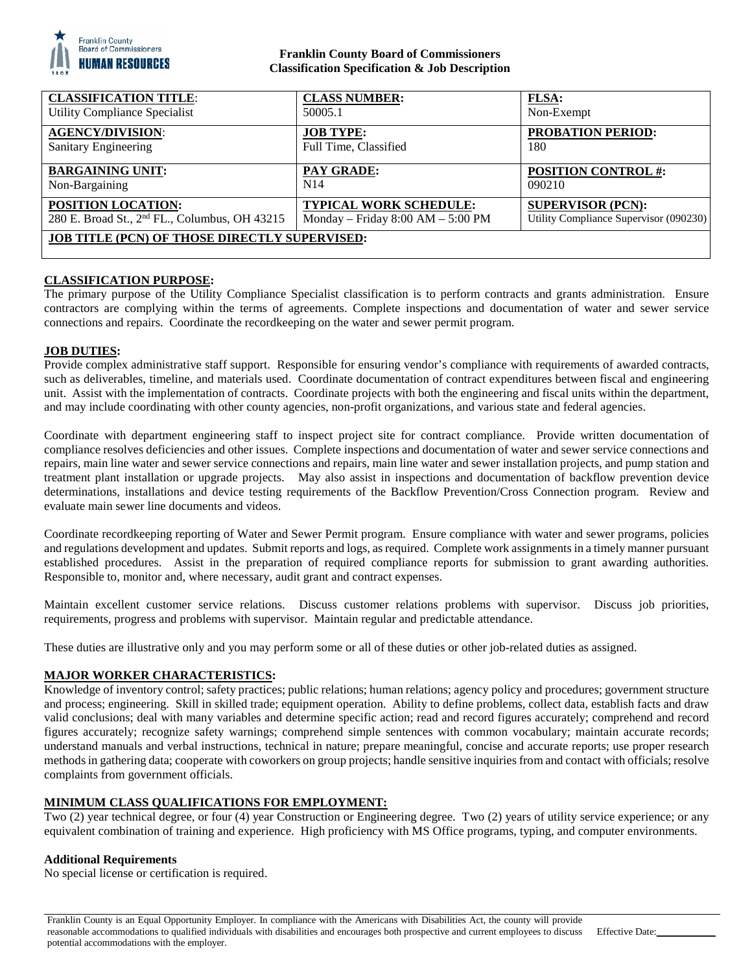

### **Franklin County Board of Commissioners Classification Specification & Job Description**

| <b>CLASSIFICATION TITLE:</b>                              | <b>CLASS NUMBER:</b>                | <b>FLSA:</b>                           |
|-----------------------------------------------------------|-------------------------------------|----------------------------------------|
| <b>Utility Compliance Specialist</b>                      | 50005.1                             | Non-Exempt                             |
| <b>AGENCY/DIVISION:</b>                                   | <b>JOB TYPE:</b>                    | <b>PROBATION PERIOD:</b>               |
| Sanitary Engineering                                      | Full Time, Classified               | 180                                    |
| <b>BARGAINING UNIT:</b>                                   | <b>PAY GRADE:</b>                   | <b>POSITION CONTROL #:</b>             |
| Non-Bargaining                                            | N <sub>14</sub>                     | 090210                                 |
| POSITION LOCATION:                                        | <b>TYPICAL WORK SCHEDULE:</b>       | <b>SUPERVISOR (PCN):</b>               |
| 280 E. Broad St., 2 <sup>nd</sup> FL., Columbus, OH 43215 | Monday – Friday $8:00 AM - 5:00 PM$ | Utility Compliance Supervisor (090230) |
| <b>JOB TITLE (PCN) OF THOSE DIRECTLY SUPERVISED:</b>      |                                     |                                        |

## **CLASSIFICATION PURPOSE:**

The primary purpose of the Utility Compliance Specialist classification is to perform contracts and grants administration. Ensure contractors are complying within the terms of agreements. Complete inspections and documentation of water and sewer service connections and repairs. Coordinate the recordkeeping on the water and sewer permit program.

### **JOB DUTIES:**

Provide complex administrative staff support. Responsible for ensuring vendor's compliance with requirements of awarded contracts, such as deliverables, timeline, and materials used. Coordinate documentation of contract expenditures between fiscal and engineering unit. Assist with the implementation of contracts. Coordinate projects with both the engineering and fiscal units within the department, and may include coordinating with other county agencies, non-profit organizations, and various state and federal agencies.

Coordinate with department engineering staff to inspect project site for contract compliance. Provide written documentation of compliance resolves deficiencies and other issues. Complete inspections and documentation of water and sewer service connections and repairs, main line water and sewer service connections and repairs, main line water and sewer installation projects, and pump station and treatment plant installation or upgrade projects. May also assist in inspections and documentation of backflow prevention device determinations, installations and device testing requirements of the Backflow Prevention/Cross Connection program. Review and evaluate main sewer line documents and videos.

Coordinate recordkeeping reporting of Water and Sewer Permit program. Ensure compliance with water and sewer programs, policies and regulations development and updates. Submit reports and logs, as required. Complete work assignmentsin a timely manner pursuant established procedures. Assist in the preparation of required compliance reports for submission to grant awarding authorities. Responsible to, monitor and, where necessary, audit grant and contract expenses.

Maintain excellent customer service relations. Discuss customer relations problems with supervisor. Discuss job priorities, requirements, progress and problems with supervisor. Maintain regular and predictable attendance.

These duties are illustrative only and you may perform some or all of these duties or other job-related duties as assigned.

# **MAJOR WORKER CHARACTERISTICS:**

Knowledge of inventory control; safety practices; public relations; human relations; agency policy and procedures; government structure and process; engineering. Skill in skilled trade; equipment operation. Ability to define problems, collect data, establish facts and draw valid conclusions; deal with many variables and determine specific action; read and record figures accurately; comprehend and record figures accurately; recognize safety warnings; comprehend simple sentences with common vocabulary; maintain accurate records; understand manuals and verbal instructions, technical in nature; prepare meaningful, concise and accurate reports; use proper research methods in gathering data; cooperate with coworkers on group projects; handle sensitive inquiries from and contact with officials; resolve complaints from government officials.

### **MINIMUM CLASS QUALIFICATIONS FOR EMPLOYMENT:**

Two (2) year technical degree, or four (4) year Construction or Engineering degree. Two (2) years of utility service experience; or any equivalent combination of training and experience. High proficiency with MS Office programs, typing, and computer environments.

### **Additional Requirements**

No special license or certification is required.